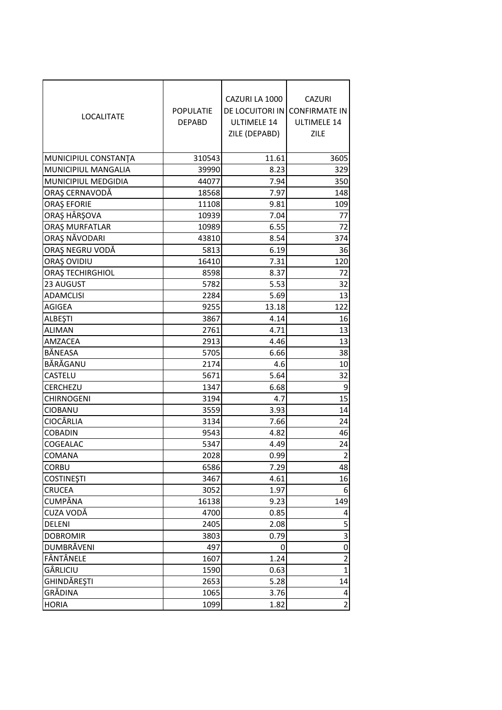| <b>LOCALITATE</b>    | <b>POPULATIE</b><br><b>DEPABD</b> | CAZURI LA 1000<br><b>ULTIMELE 14</b><br>ZILE (DEPABD) | <b>CAZURI</b><br>DE LOCUITORI IN CONFIRMATE IN<br>ULTIMELE 14<br>ZILE |
|----------------------|-----------------------------------|-------------------------------------------------------|-----------------------------------------------------------------------|
| MUNICIPIUL CONSTANTA | 310543                            | 11.61                                                 | 3605                                                                  |
| MUNICIPIUL MANGALIA  | 39990                             | 8.23                                                  | 329                                                                   |
| MUNICIPIUL MEDGIDIA  | 44077                             | 7.94                                                  | 350                                                                   |
| ORAȘ CERNAVODĂ       | 18568                             | 7.97                                                  | 148                                                                   |
| <b>ORAȘ EFORIE</b>   | 11108                             | 9.81                                                  | 109                                                                   |
| ORAŞ HÂRŞOVA         | 10939                             | 7.04                                                  | 77                                                                    |
| ORAȘ MURFATLAR       | 10989                             | 6.55                                                  | 72                                                                    |
| ORAȘ NĂVODARI        | 43810                             | 8.54                                                  | 374                                                                   |
| ORAȘ NEGRU VODĂ      | 5813                              | 6.19                                                  | 36                                                                    |
| ORAȘ OVIDIU          | 16410                             | 7.31                                                  | 120                                                                   |
| ORAȘ TECHIRGHIOL     | 8598                              | 8.37                                                  | 72                                                                    |
| 23 AUGUST            | 5782                              | 5.53                                                  | 32                                                                    |
| <b>ADAMCLISI</b>     | 2284                              | 5.69                                                  | 13                                                                    |
| <b>AGIGEA</b>        | 9255                              | 13.18                                                 | 122                                                                   |
| <b>ALBEȘTI</b>       | 3867                              | 4.14                                                  | 16                                                                    |
| <b>ALIMAN</b>        | 2761                              | 4.71                                                  | 13                                                                    |
| AMZACEA              | 2913                              | 4.46                                                  | 13                                                                    |
| BĂNEASA              | 5705                              | 6.66                                                  | 38                                                                    |
| BĂRĂGANU             | 2174                              | 4.6                                                   | 10                                                                    |
| CASTELU              | 5671                              | 5.64                                                  | 32                                                                    |
| CERCHEZU             | 1347                              | 6.68                                                  | 9                                                                     |
| <b>CHIRNOGENI</b>    | 3194                              | 4.7                                                   | 15                                                                    |
| CIOBANU              | 3559                              | 3.93                                                  | 14                                                                    |
| <b>CIOCÂRLIA</b>     | 3134                              | 7.66                                                  | 24                                                                    |
| <b>COBADIN</b>       | 9543                              | 4.82                                                  | 46                                                                    |
| COGEALAC             | 5347                              | 4.49                                                  | 24                                                                    |
| <b>COMANA</b>        | 2028                              | 0.99                                                  | $\overline{2}$                                                        |
| <b>CORBU</b>         | 6586                              | 7.29                                                  | 48                                                                    |
| <b>COSTINEȘTI</b>    | 3467                              | 4.61                                                  | 16                                                                    |
| <b>CRUCEA</b>        | 3052                              | 1.97                                                  | 6                                                                     |
| <b>CUMPĂNA</b>       | 16138                             | 9.23                                                  | 149                                                                   |
| CUZA VODĂ            | 4700                              | 0.85                                                  | 4                                                                     |
| DELENI               | 2405                              | 2.08                                                  | 5                                                                     |
| <b>DOBROMIR</b>      | 3803                              | 0.79                                                  | 3                                                                     |
| DUMBRĂVENI           | 497                               | 0                                                     | $\mathbf 0$                                                           |
| FÂNTÂNELE            | 1607                              | 1.24                                                  | 2                                                                     |
| GÂRLICIU             | 1590                              | 0.63                                                  | 1                                                                     |
| GHINDĂREȘTI          | 2653                              | 5.28                                                  | 14                                                                    |
| GRĂDINA              | 1065                              | 3.76                                                  | 4                                                                     |
| <b>HORIA</b>         | 1099                              | 1.82                                                  | 2                                                                     |